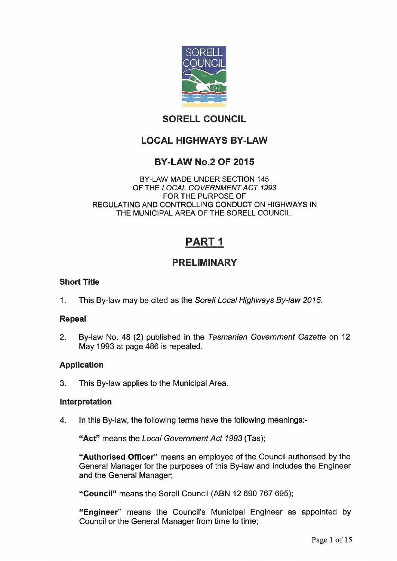

# **SORELL COUNCIL**

# **LOCAL HIGHWAYS BY-LAW**

## **BY-LAW No.2 OF 2015**

#### BY-LAW MADE UNDER SECTION 145 OF THE *LOCAL GOVERNMENT ACT 1993*  FOR THE PURPOSE OF REGULATING AND CONTROLLING CONDUCT ON HIGHWAYS IN THE MUNICIPAL AREA OF THE SORELL COUNCIL

# **PART 1**

# **PRELIMINARY**

## **Short Title**

1. This By-law may be cited as the Sore// *Local Highways By-law 2015.* 

#### **Repeal**

2. By-law No. 48 (2) published in the *Tasmanian Government Gazette* on 12 May 1993 at page 486 is repealed.

## **Application**

3. This By-law applies to the Municipal Area,

#### **interpretation**

4. In this By-law, the following terms have the following meanings:-

**"Act"** means the *Local Government Act 1993* (Tas);

**"Authorised Officer"** means an employee of the Council authorised by the General Manager for the purposes of this By-law and includes the Engineer and the General Manager;

**"Council"** means the Sorell Council (ABN **12 690 767 695);** 

**"Engineer"** means the Council's Municipal Engineer as appointed by Council or the General Manager from time to time;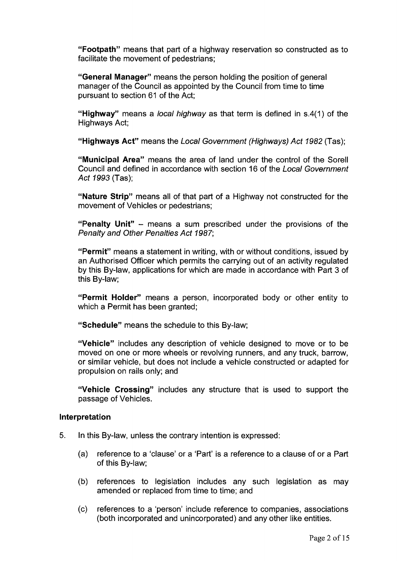**"Footpath"** means that part of a highway reservation so constructed as to facilitate the movement of pedestrians;

**"General Manager"** means the person holding the position of general manager of the Council as appointed by the Council from time to time pursuant to section 61 of the Act;

**"Highway"** means a *local highway* as that term is defined in s.4(1) of the Highways Act;

**"Highways Act"** means the *Local Government (Highways) Act 1982* (Tas);

**"Municipal Area"** means the area of land under the control of the Sorell Council and defined in accordance with section 16 of the *Local Government Act 1993* (Tas);

**"Nature Strip"** means all of that part of a Highway not constructed for the movement of Vehicles or pedestrians;

**"Penalty Unit"** - means a sum prescribed under the provisions of the *Penalty and Other Penalties Act 1987]* 

**"Permit"** means a statement in writing, with or without conditions, issued by an Authorised Officer which permits the carrying out of an activity regulated by this By-law, applications for which are made in accordance with Part 3 of this By-law;

**"Permit Holder"** means a person, incorporated body or other entity to which a Permit has been granted:

**"Schedule"** means the schedule to this By-law;

**"Vehicle"** includes any description of vehicle designed to move or to be moved on one or more wheels or revolving runners, and any truck, barrow, or similar vehicle, but does not include a vehicle constructed or adapted for propulsion on rails only; and

**"Vehicle Crossing"** includes any structure that is used to support the passage of Vehicles.

#### **Interpretation**

- 5. In this By-law, unless the contrary intention is expressed:
	- (a) reference to a 'clause' or a 'Part' is a reference to a clause of or a Part of this By-law;
	- (b) references to legislation includes any such legislation as may amended or replaced from time to time; and
	- (c) references to a 'person' include reference to companies, associations (both incorporated and unincorporated) and any other like entities.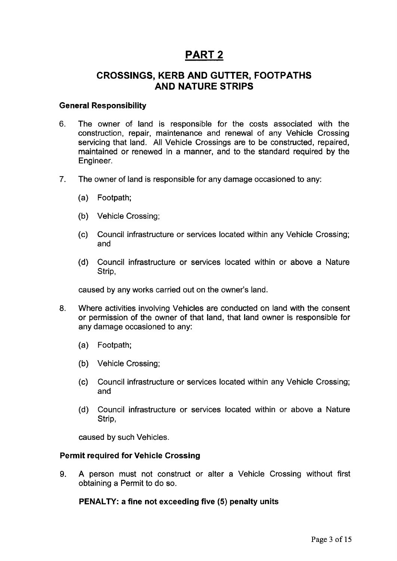# **PART 2**

## **CROSSINGS, KERB AND GUTTER, FOOTPATHS AND NATURE STRIPS**

#### **General Responsibility**

- 6. The owner of land is responsible for the costs associated with the construction, repair, maintenance and renewal of any Vehicle Crossing servicing that land. All Vehicle Crossings are to be constructed, repaired, maintained or renewed in a manner, and to the standard required by the Engineer.
- 7. The owner of land is responsible for any damage occasioned to any:
	- (a) Footpath;
	- (b) Vehicle Crossing;
	- (c) Council infrastructure or services located within any Vehicle Crossing; and
	- (d) Council infrastructure or services located within or above a Nature Strip,

caused by any works carried out on the owner's land.

- 8. Where activities involving Vehicles are conducted on land with the consent or permission of the owner of that land, that land owner is responsible for any damage occasioned to any:
	- (a) Footpath;
	- (b) Vehicle Crossing;
	- (c) Council infrastructure or services located within any Vehicle Crossing; and
	- (d) Council infrastructure or services located within or above a Nature Strip,

caused by such Vehicles.

#### **Permit required for Vehicle Crossing**

9. A person must not construct or alter a Vehicle Crossing without first obtaining a Permit to do so.

**PENALTY: a fine not exceeding five (5) penalty units**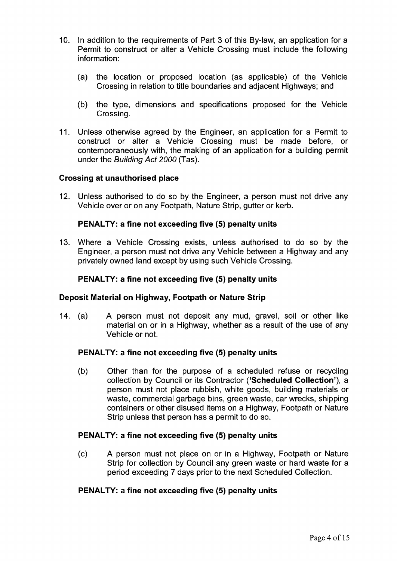- 10. In addition to the requirements of Part 3 of this By-law, an application for a Permit to construct or alter a Vehicle Crossing must include the following information:
	- (a) the location or proposed location (as applicable) of the Vehicle Crossing in relation to title boundaries and adjacent Highways; and
	- (b) the type, dimensions and specifications proposed for the Vehicle Crossing.
- 11. Unless otherwise agreed by the Engineer, an application for a Permit to construct or alter a Vehicle Crossing must be made before, or contemporaneously with, the making of an application for a building permit under the *Building Act 2000* (Tas).

#### **Crossing at unauthorised place**

12. Unless authorised to do so by the Engineer, a person must not drive any Vehicle over or on any Footpath, Nature Strip, gutter or kerb.

#### **PENALTY: a fine not exceeding five (5) penalty units**

13. Where a Vehicle Crossing exists, unless authorised to do so by the Engineer, a person must not drive any Vehicle between a Highway and any privately owned land except by using such Vehicle Crossing.

#### **PENALTY: a fine not exceeding five (5) penalty units**

#### **Deposit Material on Highway, Footpath or Nature Strip**

14. (a) A person must not deposit any mud, gravel, soil or other like material on or in a Highway, whether as a result of the use of any Vehicle or not.

#### **PENALTY: a fine not exceeding five (5) penalty units**

(b) Other than for the purpose of a scheduled refuse or recycling collection by Council or its Contractor **('Scheduled Collection'),** a person must not place rubbish, white goods, building materials or waste, commercial garbage bins, green waste, car wrecks, shipping containers or other disused items on a Highway, Footpath or Nature Strip unless that person has a permit to do so.

#### **PENALTY: a fine not exceeding five (5) penalty units**

(c) A person must not place on or in a Highway, Footpath or Nature Strip for collection by Council any green waste or hard waste for a period exceeding 7 days prior to the next Scheduled Collection.

#### **PENALTY: a fine not exceeding five (5) penalty units**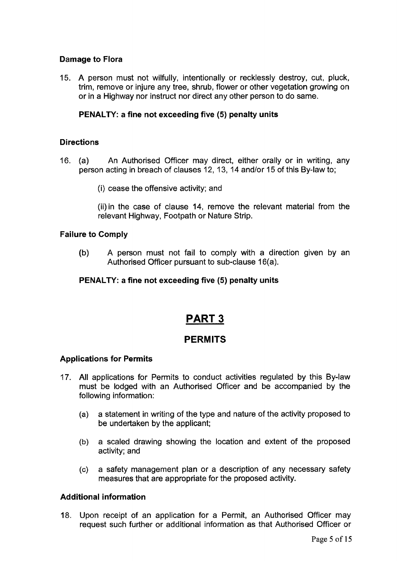## **Damage to Flora**

15. A person must not wilfully, intentionally or recklessly destroy, cut, pluck, trim, remove or injure any tree, shrub, flower or other vegetation growing on or in a Highway nor instruct nor direct any other person to do same.

## **PENALTY: a fine not exceeding five (5) penalty units**

## **Directions**

- 16. (a) An Authorised Officer may direct, either orally or in writing, any person acting in breach of clauses 12, 13, 14 and/or 15 of this By-law to;
	- (i) cease the offensive activity; and

(ii)in the case of clause 14, remove the relevant material from the relevant Highway, Footpath or Nature Strip.

## **Failure to Comply**

(b) A person must not fail to comply with a direction given by an Authorised Officer pursuant to sub-clause 16(a).

## **PENALTY: a fine not exceeding five** (5) **penalty units**

# **PART 3**

## **PERMITS**

## **Applications for Permits**

- 17. All applications for Permits to conduct activities regulated by this By-law must be lodged with an Authorised Officer and be accompanied by the following information:
	- (a) a statement in writing of the type and nature of the activity proposed to be undertaken by the applicant;
	- (b) a scaled drawing showing the location and extent of the proposed activity; and
	- (c) a safety management plan or a description of any necessary safety measures that are appropriate for the proposed activity.

## **Additional information**

18. Upon receipt of an application for a Permit, an Authorised Officer may request such further or additional information as that Authorised Officer or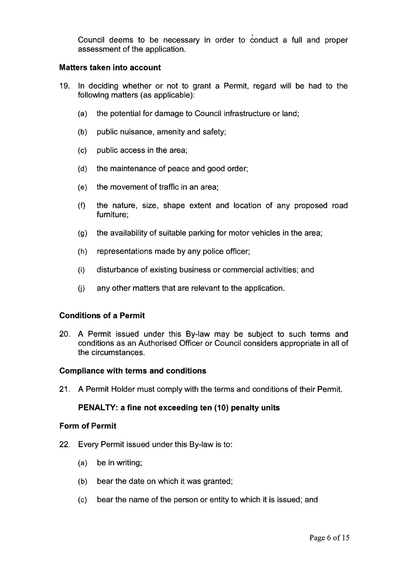Council deems to be necessary in order to conduct a full and proper assessment of the application.

#### **Matters taken into account**

- 19. In deciding whether or not to grant a Permit, regard will be had to the following matters (as applicable):
	- (a) the potential for damage to Council infrastructure or land;
	- (b) public nuisance, amenity and safety;
	- (c) public access in the area;
	- (d) the maintenance of peace and good order;
	- (e) the movement of traffic in an area;
	- (f) the nature, size, shape extent and location of any proposed road furniture;
	- (g) the availability of suitable parking for motor vehicles in the area;
	- (h) representations made by any police officer;
	- (i) disturbance of existing business or commercial activities; and
	- (j) any other matters that are relevant to the application.

#### **Conditions of a Permit**

20. A Permit issued under this By-law may be subject to such terms and conditions as an Authorised Officer or Council considers appropriate in all of the circumstances.

#### **Compliance with terms and conditions**

21. A Permit Holder must comply with the terms and conditions of their Permit.

## **PENALTY: a fine not exceeding ten (10) penalty units**

#### **Form of Permit**

- 22. Every Permit issued under this By-law is to:
	- (a) be in writing;
	- (b) bear the date on which it was granted;
	- (c) bear the name of the person or entity to which it is issued; and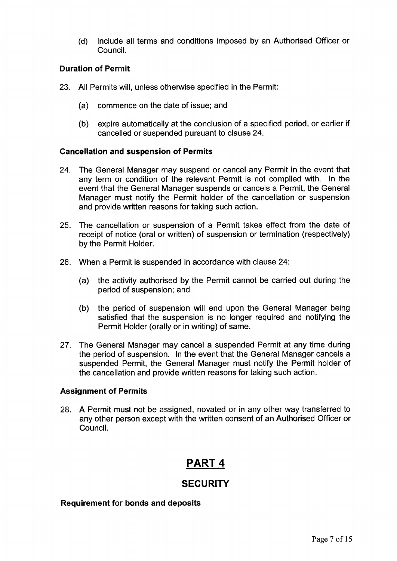(d) include all terms and conditions imposed by an Authorised Officer or Council.

## **Duration of Permit**

- 23. All Permits will, unless otherwise specified in the Permit:
	- (a) commence on the date of issue; and
	- (b) expire automatically at the conclusion of a specified period, or earlier if cancelled or suspended pursuant to clause 24.

## **Cancellation and suspension of Permits**

- 24. The General Manager may suspend or cancel any Permit in the event that any term or condition of the relevant Permit is not complied with. In the event that the General Manager suspends or cancels a Permit, the General Manager must notify the Permit holder of the cancellation or suspension and provide written reasons for taking such action.
- 25. The cancellation or suspension of a Permit takes effect from the date of receipt of notice (oral or written) of suspension or termination (respectively) by the Permit Holder.
- 26. When a Permit is suspended in accordance with clause 24:
	- (a) the activity authorised by the Permit cannot be carried out during the period of suspension; and
	- (b) the period of suspension will end upon the General Manager being satisfied that the suspension is no longer required and notifying the Permit Holder (orally or in writing) of same.
- 27. The General Manager may cancel a suspended Permit at any time during the period of suspension. In the event that the General Manager cancels a suspended Permit, the General Manager must notify the Permit holder of the cancellation and provide written reasons for taking such action.

## **Assignment of Permits**

28. A Permit must not be assigned, novated or in any other way transferred to any other person except with the written consent of an Authorised Officer or Council.

# **PART 4**

## **SECURITY**

#### **Requirement for bonds and deposits**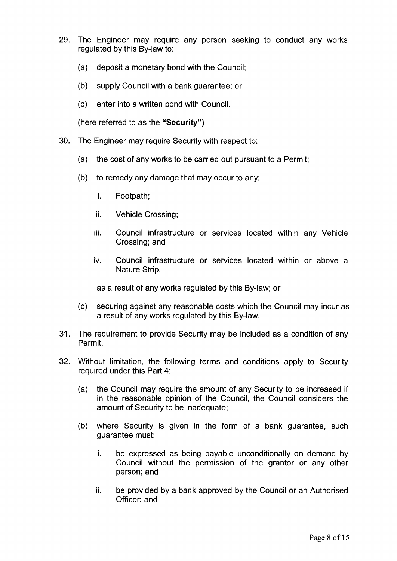- 29. The Engineer may require any person seeking to conduct any works regulated by this By-law to:
	- (a) deposit a monetary bond with the Council;
	- (b) supply Council with a bank guarantee; or
	- (c) enter into a written bond with Council.

(here referred to as the **"Security")** 

- 30. The Engineer may require Security with respect to:
	- (a) the cost of any works to be carried out pursuant to a Permit;
	- (b) to remedy any damage that may occur to any:
		- i. Footpath;
		- ii. Vehicle Crossing;
		- iii. Council infrastructure or services located within any Vehicle Crossing; and
		- iv. Council infrastructure or services located within or above a Nature Strip,

as a result of any works regulated by this By-law; or

- (c) securing against any reasonable costs which the Council may incur as a result of any works regulated by this By-law.
- 31. The requirement to provide Security may be included as a condition of any Permit.
- 32. Without limitation, the following terms and conditions apply to Security required under this Part 4:
	- (a) the Council may require the amount of any Security to be increased if in the reasonable opinion of the Council, the Council considers the amount of Security to be inadequate;
	- (b) where Security is given in the form of a bank guarantee, such guarantee must:
		- i. be expressed as being payable unconditionally on demand by Council without the permission of the grantor or any other person; and
		- ii. be provided by a bank approved by the Council or an Authorised Officer; and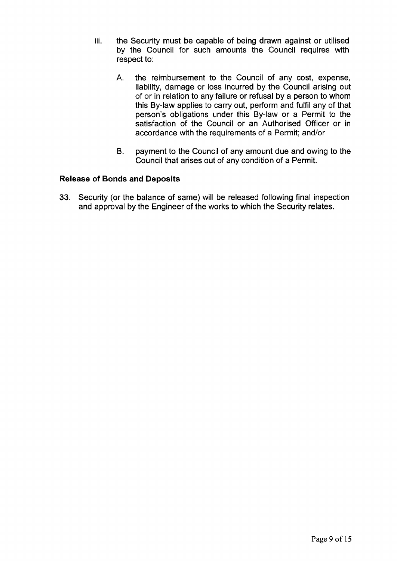- iii. the Security must be capable of being drawn against or utilised by the Council for such amounts the Council requires with respect to:
	- A. the reimbursement to the Council of any cost, expense, liability, damage or loss incurred by the Council arising out of or in relation to any failure or refusal by a person to whom this By-law applies to carry out, perform and fulfil any of that person's obligations under this By-law or a Permit to the satisfaction of the Council or an Authorised Officer or in accordance with the requirements of a Permit; and/or
	- B. payment to the Council of any amount due and owing to the Council that arises out of any condition of a Permit.

## **Release of Bonds and Deposits**

33. Security (or the balance of same) will be released following final inspection and approval by the Engineer of the works to which the Security relates.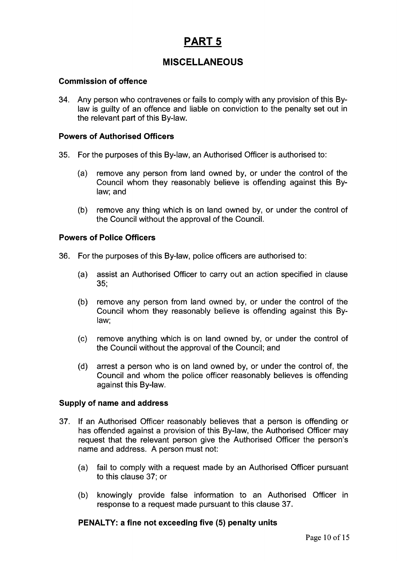# **PART 5**

# **MISCELLANEOUS**

## **Commission of offence**

34. Any person who contravenes or fails to comply with any provision of this Bylaw is guilty of an offence and liable on conviction to the penalty set out in the relevant part of this By-law.

## **Powers of Authorised Officers**

- 35. For the purposes of this By-law, an Authorised Officer is authorised to:
	- (a) remove any person from land owned by, or under the control of the Council whom they reasonably believe is offending against this Bylaw; and
	- (b) remove any thing which is on land owned by, or under the control of the Council without the approval of the Council.

#### **Powers of Police Officers**

- 36. For the purposes of this By-law, police officers are authorised to:
	- (a) assist an Authorised Officer to carry out an action specified in clause 35;
	- (b) remove any person from land owned by, or under the control of the Council whom they reasonably believe is offending against this Bylaw;
	- (c) remove anything which is on land owned by, or under the control of the Council without the approval of the Council; and
	- (d) arrest a person who is on land owned by, or under the control of, the Council and whom the police officer reasonably believes is offending against this By-law.

#### **Supply of name and address**

- 37. If an Authorised Officer reasonably believes that a person is offending or has offended against a provision of this By-law, the Authorised Officer may request that the relevant person give the Authorised Officer the person's name and address. A person must not:
	- (a) fail to comply with a request made by an Authorised Officer pursuant to this clause 37; or
	- (b) knowingly provide false information to an Authorised Officer in response to a request made pursuant to this clause 37.

## **PENALTY: a fine not exceeding five (5) penalty units**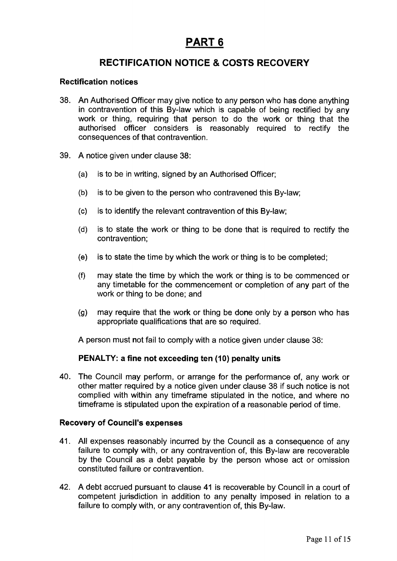# **PART 6**

# **RECTIFICATION NOTICE & COSTS RECOVERY**

#### **Rectification notices**

- 38. An Authorised Officer may give notice to any person who has done anything in contravention of this By-law which is capable of being rectified by any work or thing, requiring that person to do the work or thing that the authorised officer considers is reasonably required to rectify the consequences of that contravention.
- 39. A notice given under clause 38:
	- (a) is to be in writing, signed by an Authorised Officer;
	- (b) is to be given to the person who contravened this By-law;
	- (c) is to identify the relevant contravention of this By-law;
	- (d) is to state the work or thing to be done that is required to rectify the contravention;
	- (e) is to state the time by which the work or thing is to be completed;
	- (f) may state the time by which the work or thing is to be commenced or any timetable for the commencement or completion of any part of the work or thing to be done; and
	- (g) may require that the work or thing be done only by a person who has appropriate qualifications that are so required.

A person must not fail to comply with a notice given under clause 38:

## **PENALTY: a fine not exceeding ten (10) penalty units**

40. The Council may perform, or arrange for the performance of, any work or other matter required by a notice given under clause 38 if such notice is not complied with within any timeframe stipulated in the notice, and where no timeframe is stipulated upon the expiration of a reasonable period of time.

#### **Recovery of Council's expenses**

- 41. All expenses reasonably incurred by the Council as a consequence of any failure to comply with, or any contravention of, this By-law are recoverable by the Council as a debt payable by the person whose act or omission constituted failure or contravention.
- 42. A debt accrued pursuant to clause 41 is recoverable by Council in a court of competent jurisdiction in addition to any penalty imposed in relation to a failure to comply with, or any contravention of, this By-law.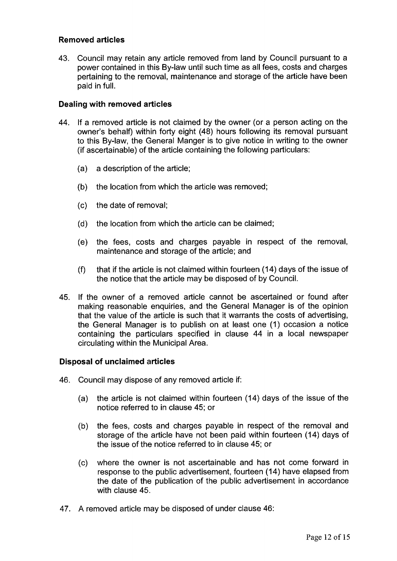## **Removed articles**

43. Council may retain any article removed from land by Council pursuant to a power contained in this By-law until such time as all fees, costs and charges pertaining to the removal, maintenance and storage of the article have been paid in full.

#### **Dealing with removed articles**

- 44. If a removed article is not claimed by the owner (or a person acting on the owner's behalf) within forty eight (48) hours following its removal pursuant to this By-law, the General Manger is to give notice in writing to the owner (if ascertainable) of the article containing the following particulars:
	- (a) a description of the article;
	- (b) the location from which the article was removed;
	- (c) the date of removal;
	- (d) the location from which the article can be claimed;
	- (e) the fees, costs and charges payable in respect of the removal, maintenance and storage of the article; and
	- (f) that if the article is not claimed within fourteen (14) days of the issue of the notice that the article may be disposed of by Council.
- 45. If the owner of a removed article cannot be ascertained or found after making reasonable enquiries, and the General Manager is of the opinion that the value of the article is such that it warrants the costs of advertising, the General Manager is to publish on at least one (1) occasion a notice containing the particulars specified in clause 44 in a local newspaper circulating within the Municipal Area.

#### **Disposal of unclaimed articles**

- 46. Council may dispose of any removed article if:
	- (a) the article is not claimed within fourteen (14) days of the issue of the notice referred to in clause 45; or
	- (b) the fees, costs and charges payable in respect of the removal and storage of the article have not been paid within fourteen (14) days of the issue of the notice referred to in clause 45; or
	- (c) where the owner is not ascertainable and has not come forward in response to the public advertisement, fourteen (14) have elapsed from the date of the publication of the public advertisement in accordance with clause 45.
- 47. A removed article may be disposed of under clause 46: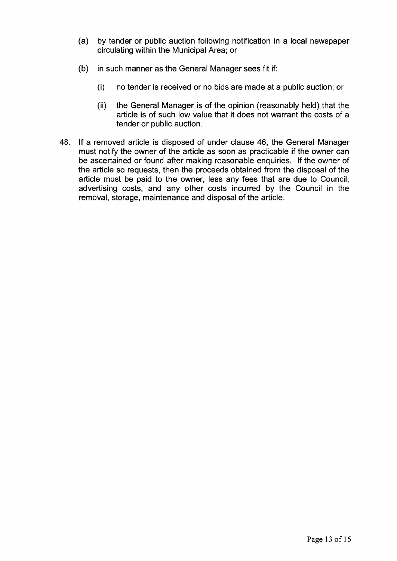- (a) by tender or public auction following notification in a local newspaper circulating within the Municipal Area; or
- (b) in such manner as the General Manager sees fit if:
	- (i) no tender is received or no bids are made at a public auction; or
	- (ii) the General Manager is of the opinion (reasonably held) that the article is of such low value that it does not warrant the costs of a tender or public auction.
- 48. If a removed article is disposed of under clause 46, the General Manager must notify the owner of the article as soon as practicable if the owner can be ascertained or found after making reasonable enquiries. If the owner of the article so requests, then the proceeds obtained from the disposal of the article must be paid to the owner, less any fees that are due to Council, advertising costs, and any other costs incurred by the Council in the removal, storage, maintenance and disposal of the article.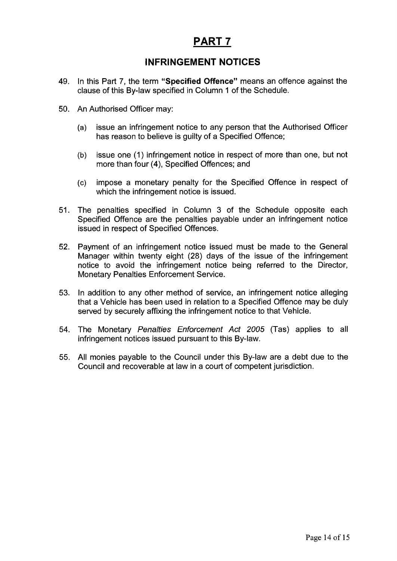# **PART?**

# **INFRINGEMENT NOTICES**

- 49. In this Part 7, the term **"Specified Offence"** means an offence against the clause of this By-law specified in Column 1 of the Schedule.
- 50. An Authorised Officer may:
	- (a) issue an infringement notice to any person that the Authorised Officer has reason to believe is guilty of a Specified Offence;
	- (b) issue one (1) infringement notice in respect of more than one, but not more than four (4), Specified Offences; and
	- (c) impose a monetary penalty for the Specified Offence in respect of which the infringement notice is issued.
- 51. The penalties specified in Column 3 of the Schedule opposite each Specified Offence are the penalties payable under an infringement notice issued in respect of Specified Offences.
- 52. Payment of an infringement notice issued must be made to the General Manager within twenty eight (28) days of the issue of the infringement notice to avoid the infringement notice being referred to the Director, Monetary Penalties Enforcement Service.
- 53. In addition to any other method of service, an infringement notice alleging that a Vehicle has been used in relation to a Specified Offence may be duly served by securely affixing the infringement notice to that Vehicle.
- 54. The Monetary *Penalties Enforcement Act 2005* (Tas) applies to all infringement notices issued pursuant to this By-law.
- 55. All monies payable to the Council under this By-law are a debt due to the Council and recoverable at law in a court of competent jurisdiction.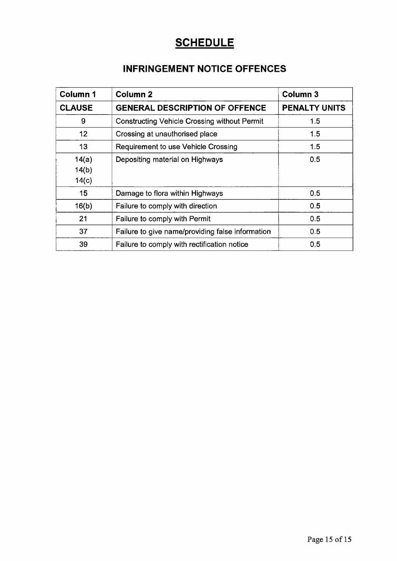# **SCHEDULE**

# **INFRINGEMENT NOTICE OFFENCES**

| <b>Column 1</b>         | <b>Column 2</b>                                     | <b>Column 3</b>      |
|-------------------------|-----------------------------------------------------|----------------------|
| <b>CLAUSE</b>           | <b>GENERAL DESCRIPTION OF OFFENCE</b>               | <b>PENALTY UNITS</b> |
| 9                       | <b>Constructing Vehicle Crossing without Permit</b> | 1.5                  |
| 12 <sub>2</sub>         | Crossing at unauthorised place                      | 1.5                  |
| 13                      | Requirement to use Vehicle Crossing                 | 1.5                  |
| 14(a)<br>14(b)<br>14(c) | Depositing material on Highways                     | 0.5                  |
| 15                      | Damage to flora within Highways                     | 0.5                  |
| 16(b)                   | Failure to comply with direction                    | 0.5                  |
| 21                      | Failure to comply with Permit                       | 0.5                  |
| 37                      | Failure to give name/providing false information    | 0.5                  |
| 39                      | Failure to comply with rectification notice         | 0.5                  |